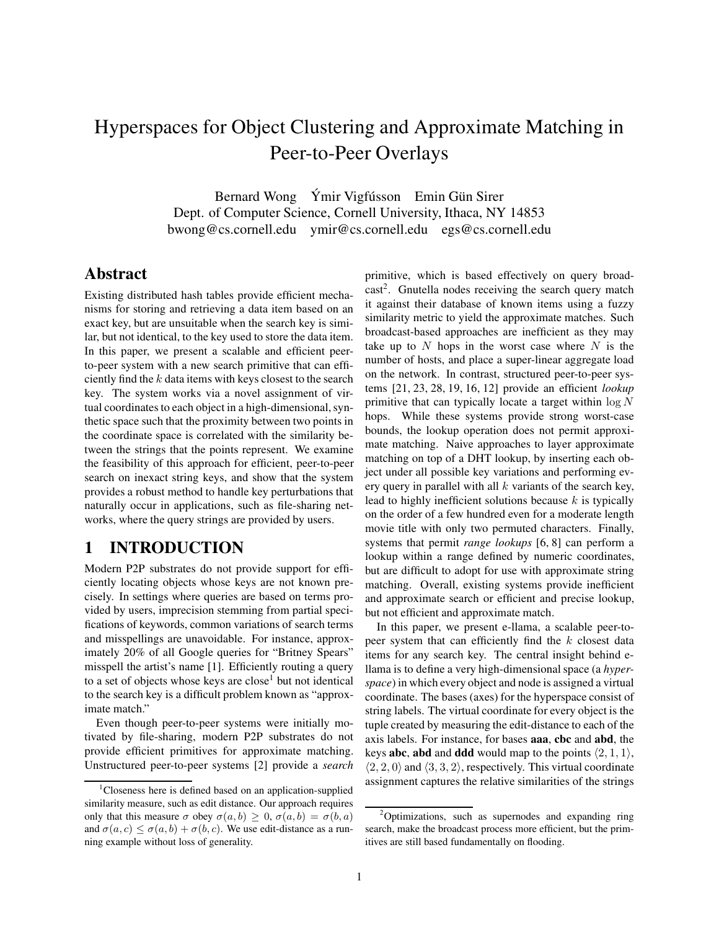# Hyperspaces for Object Clustering and Approximate Matching in Peer-to-Peer Overlays

Bernard Wong Ýmir Vigfússon Emin Gün Sirer Dept. of Computer Science, Cornell University, Ithaca, NY 14853 bwong@cs.cornell.edu ymir@cs.cornell.edu egs@cs.cornell.edu

### **Abstract**

Existing distributed hash tables provide efficient mechanisms for storing and retrieving a data item based on an exact key, but are unsuitable when the search key is similar, but not identical, to the key used to store the data item. In this paper, we present a scalable and efficient peerto-peer system with a new search primitive that can efficiently find the  $k$  data items with keys closest to the search key. The system works via a novel assignment of virtual coordinates to each object in a high-dimensional, synthetic space such that the proximity between two points in the coordinate space is correlated with the similarity between the strings that the points represent. We examine the feasibility of this approach for efficient, peer-to-peer search on inexact string keys, and show that the system provides a robust method to handle key perturbations that naturally occur in applications, such as file-sharing networks, where the query strings are provided by users.

# **1 INTRODUCTION**

Modern P2P substrates do not provide support for efficiently locating objects whose keys are not known precisely. In settings where queries are based on terms provided by users, imprecision stemming from partial specifications of keywords, common variations of search terms and misspellings are unavoidable. For instance, approximately 20% of all Google queries for "Britney Spears" misspell the artist's name [1]. Efficiently routing a query to a set of objects whose keys are close<sup>1</sup> but not identical to the search key is a difficult problem known as "approximate match."

Even though peer-to-peer systems were initially motivated by file-sharing, modern P2P substrates do not provide efficient primitives for approximate matching. Unstructured peer-to-peer systems [2] provide a *search* primitive, which is based effectively on query broad $cast<sup>2</sup>$ . Gnutella nodes receiving the search query match it against their database of known items using a fuzzy similarity metric to yield the approximate matches. Such broadcast-based approaches are inefficient as they may take up to  $N$  hops in the worst case where  $N$  is the number of hosts, and place a super-linear aggregate load on the network. In contrast, structured peer-to-peer systems [21, 23, 28, 19, 16, 12] provide an efficient *lookup* primitive that can typically locate a target within  $\log N$ hops. While these systems provide strong worst-case bounds, the lookup operation does not permit approximate matching. Naive approaches to layer approximate matching on top of a DHT lookup, by inserting each object under all possible key variations and performing every query in parallel with all  $k$  variants of the search key, lead to highly inefficient solutions because  $k$  is typically on the order of a few hundred even for a moderate length movie title with only two permuted characters. Finally, systems that permit *range lookups* [6, 8] can perform a lookup within a range defined by numeric coordinates, but are difficult to adopt for use with approximate string matching. Overall, existing systems provide inefficient and approximate search or efficient and precise lookup, but not efficient and approximate match.

In this paper, we present e-llama, a scalable peer-topeer system that can efficiently find the k closest data items for any search key. The central insight behind ellama is to define a very high-dimensional space (a *hyperspace*) in which every object and node is assigned a virtual coordinate. The bases (axes) for the hyperspace consist of string labels. The virtual coordinate for every object is the tuple created by measuring the edit-distance to each of the axis labels. For instance, for bases **aaa**, **cbc** and **abd**, the keys **abc**, **abd** and **ddd** would map to the points  $\langle 2, 1, 1 \rangle$ ,  $\langle 2, 2, 0 \rangle$  and  $\langle 3, 3, 2 \rangle$ , respectively. This virtual coordinate assignment captures the relative similarities of the strings

<sup>&</sup>lt;sup>1</sup>Closeness here is defined based on an application-supplied similarity measure, such as edit distance. Our approach requires only that this measure  $\sigma$  obey  $\sigma(a, b) \geq 0$ ,  $\sigma(a, b) = \sigma(b, a)$ and  $\sigma(a, c) \leq \sigma(a, b) + \sigma(b, c)$ . We use edit-distance as a running example without loss of generality.

<sup>&</sup>lt;sup>2</sup>Optimizations, such as supernodes and expanding ring search, make the broadcast process more efficient, but the primitives are still based fundamentally on flooding.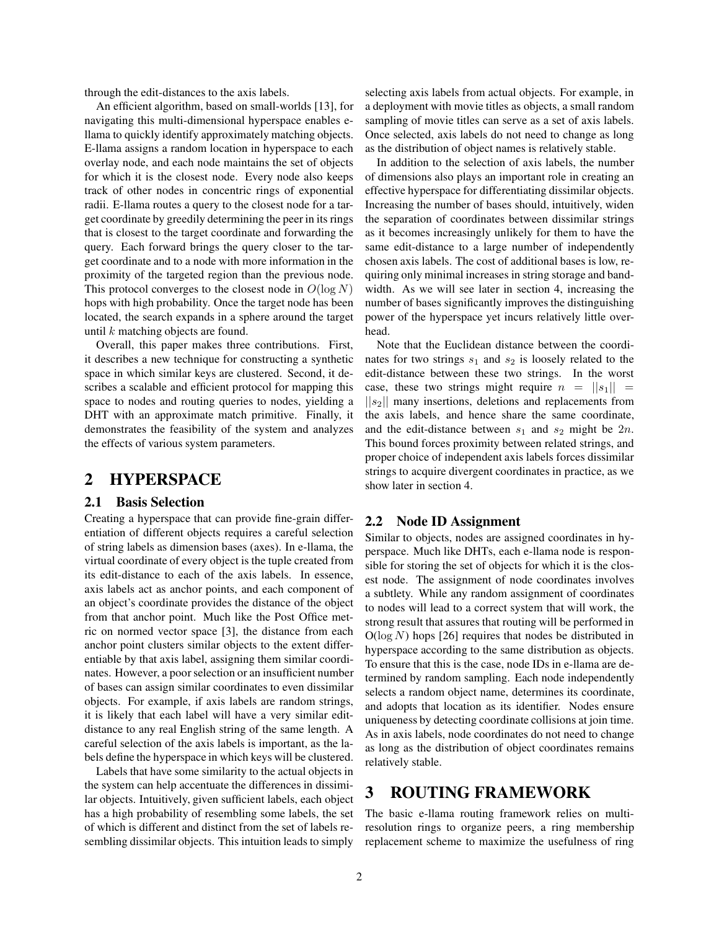through the edit-distances to the axis labels.

An efficient algorithm, based on small-worlds [13], for navigating this multi-dimensional hyperspace enables ellama to quickly identify approximately matching objects. E-llama assigns a random location in hyperspace to each overlay node, and each node maintains the set of objects for which it is the closest node. Every node also keeps track of other nodes in concentric rings of exponential radii. E-llama routes a query to the closest node for a target coordinate by greedily determining the peer in its rings that is closest to the target coordinate and forwarding the query. Each forward brings the query closer to the target coordinate and to a node with more information in the proximity of the targeted region than the previous node. This protocol converges to the closest node in  $O(\log N)$ hops with high probability. Once the target node has been located, the search expands in a sphere around the target until k matching objects are found.

Overall, this paper makes three contributions. First, it describes a new technique for constructing a synthetic space in which similar keys are clustered. Second, it describes a scalable and efficient protocol for mapping this space to nodes and routing queries to nodes, yielding a DHT with an approximate match primitive. Finally, it demonstrates the feasibility of the system and analyzes the effects of various system parameters.

### **2 HYPERSPACE**

### **2.1 Basis Selection**

Creating a hyperspace that can provide fine-grain differentiation of different objects requires a careful selection of string labels as dimension bases (axes). In e-llama, the virtual coordinate of every object is the tuple created from its edit-distance to each of the axis labels. In essence, axis labels act as anchor points, and each component of an object's coordinate provides the distance of the object from that anchor point. Much like the Post Office metric on normed vector space [3], the distance from each anchor point clusters similar objects to the extent differentiable by that axis label, assigning them similar coordinates. However, a poor selection or an insufficient number of bases can assign similar coordinates to even dissimilar objects. For example, if axis labels are random strings, it is likely that each label will have a very similar editdistance to any real English string of the same length. A careful selection of the axis labels is important, as the labels define the hyperspace in which keys will be clustered.

Labels that have some similarity to the actual objects in the system can help accentuate the differences in dissimilar objects. Intuitively, given sufficient labels, each object has a high probability of resembling some labels, the set of which is different and distinct from the set of labels resembling dissimilar objects. This intuition leads to simply

selecting axis labels from actual objects. For example, in a deployment with movie titles as objects, a small random sampling of movie titles can serve as a set of axis labels. Once selected, axis labels do not need to change as long as the distribution of object names is relatively stable.

In addition to the selection of axis labels, the number of dimensions also plays an important role in creating an effective hyperspace for differentiating dissimilar objects. Increasing the number of bases should, intuitively, widen the separation of coordinates between dissimilar strings as it becomes increasingly unlikely for them to have the same edit-distance to a large number of independently chosen axis labels. The cost of additional bases is low, requiring only minimal increases in string storage and bandwidth. As we will see later in section 4, increasing the number of bases significantly improves the distinguishing power of the hyperspace yet incurs relatively little overhead.

Note that the Euclidean distance between the coordinates for two strings  $s_1$  and  $s_2$  is loosely related to the edit-distance between these two strings. In the worst case, these two strings might require  $n = ||s_1||$  =  $||s_2||$  many insertions, deletions and replacements from the axis labels, and hence share the same coordinate, and the edit-distance between  $s_1$  and  $s_2$  might be  $2n$ . This bound forces proximity between related strings, and proper choice of independent axis labels forces dissimilar strings to acquire divergent coordinates in practice, as we show later in section 4.

#### **2.2 Node ID Assignment**

Similar to objects, nodes are assigned coordinates in hyperspace. Much like DHTs, each e-llama node is responsible for storing the set of objects for which it is the closest node. The assignment of node coordinates involves a subtlety. While any random assignment of coordinates to nodes will lead to a correct system that will work, the strong result that assures that routing will be performed in  $O(\log N)$  hops [26] requires that nodes be distributed in hyperspace according to the same distribution as objects. To ensure that this is the case, node IDs in e-llama are determined by random sampling. Each node independently selects a random object name, determines its coordinate, and adopts that location as its identifier. Nodes ensure uniqueness by detecting coordinate collisions at join time. As in axis labels, node coordinates do not need to change as long as the distribution of object coordinates remains relatively stable.

# **3 ROUTING FRAMEWORK**

The basic e-llama routing framework relies on multiresolution rings to organize peers, a ring membership replacement scheme to maximize the usefulness of ring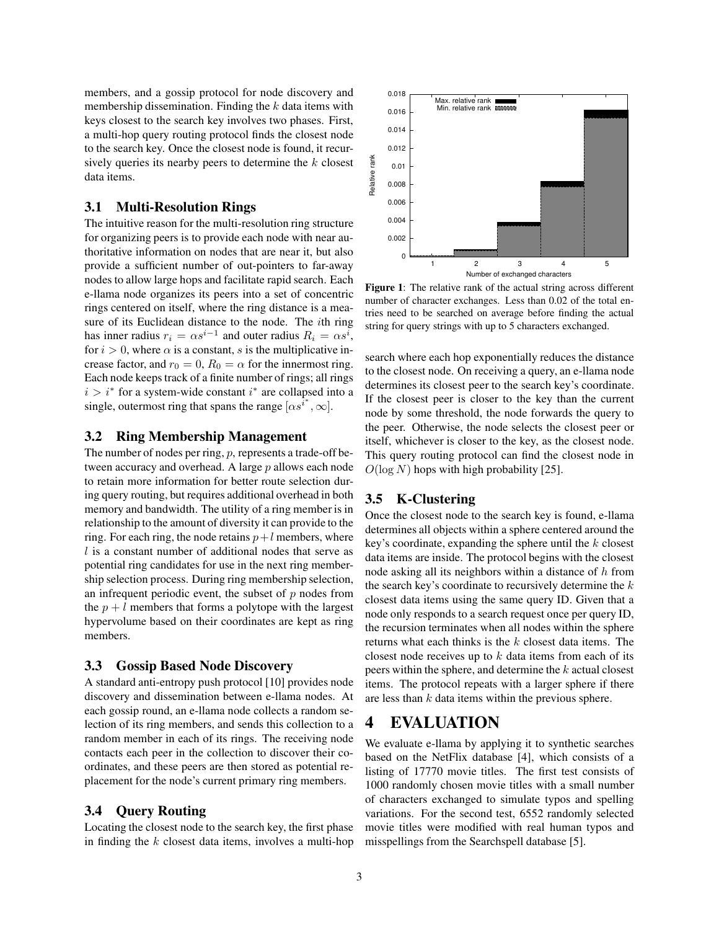members, and a gossip protocol for node discovery and membership dissemination. Finding the  $k$  data items with keys closest to the search key involves two phases. First, a multi-hop query routing protocol finds the closest node to the search key. Once the closest node is found, it recursively queries its nearby peers to determine the  $k$  closest data items.

#### **3.1 Multi-Resolution Rings**

The intuitive reason for the multi-resolution ring structure for organizing peers is to provide each node with near authoritative information on nodes that are near it, but also provide a sufficient number of out-pointers to far-away nodes to allow large hops and facilitate rapid search. Each e-llama node organizes its peers into a set of concentric rings centered on itself, where the ring distance is a measure of its Euclidean distance to the node. The ith ring has inner radius  $r_i = \alpha s^{i-1}$  and outer radius  $R_i = \alpha s^i$ , for  $i > 0$ , where  $\alpha$  is a constant, s is the multiplicative increase factor, and  $r_0 = 0$ ,  $R_0 = \alpha$  for the innermost ring. Each node keeps track of a finite number of rings; all rings  $i > i^*$  for a system-wide constant  $i^*$  are collapsed into a single, outermost ring that spans the range  $[\alpha s^{i*}, \infty]$ .

#### **3.2 Ring Membership Management**

The number of nodes per ring,  $p$ , represents a trade-off between accuracy and overhead. A large p allows each node to retain more information for better route selection during query routing, but requires additional overhead in both memory and bandwidth. The utility of a ring member is in relationship to the amount of diversity it can provide to the ring. For each ring, the node retains  $p+l$  members, where l is a constant number of additional nodes that serve as potential ring candidates for use in the next ring membership selection process. During ring membership selection, an infrequent periodic event, the subset of  $p$  nodes from the  $p + l$  members that forms a polytope with the largest hypervolume based on their coordinates are kept as ring members.

#### **3.3 Gossip Based Node Discovery**

A standard anti-entropy push protocol [10] provides node discovery and dissemination between e-llama nodes. At each gossip round, an e-llama node collects a random selection of its ring members, and sends this collection to a random member in each of its rings. The receiving node contacts each peer in the collection to discover their coordinates, and these peers are then stored as potential replacement for the node's current primary ring members.

#### **3.4 Query Routing**

Locating the closest node to the search key, the first phase in finding the  $k$  closest data items, involves a multi-hop



**Figure 1**: The relative rank of the actual string across different number of character exchanges. Less than 0.02 of the total entries need to be searched on average before finding the actual string for query strings with up to 5 characters exchanged.

search where each hop exponentially reduces the distance to the closest node. On receiving a query, an e-llama node determines its closest peer to the search key's coordinate. If the closest peer is closer to the key than the current node by some threshold, the node forwards the query to the peer. Otherwise, the node selects the closest peer or itself, whichever is closer to the key, as the closest node. This query routing protocol can find the closest node in  $O(\log N)$  hops with high probability [25].

#### **3.5 K-Clustering**

Once the closest node to the search key is found, e-llama determines all objects within a sphere centered around the key's coordinate, expanding the sphere until the  $k$  closest data items are inside. The protocol begins with the closest node asking all its neighbors within a distance of  $h$  from the search key's coordinate to recursively determine the  $k$ closest data items using the same query ID. Given that a node only responds to a search request once per query ID, the recursion terminates when all nodes within the sphere returns what each thinks is the k closest data items. The closest node receives up to  $k$  data items from each of its peers within the sphere, and determine the k actual closest items. The protocol repeats with a larger sphere if there are less than  $k$  data items within the previous sphere.

# **4 EVALUATION**

We evaluate e-llama by applying it to synthetic searches based on the NetFlix database [4], which consists of a listing of 17770 movie titles. The first test consists of 1000 randomly chosen movie titles with a small number of characters exchanged to simulate typos and spelling variations. For the second test, 6552 randomly selected movie titles were modified with real human typos and misspellings from the Searchspell database [5].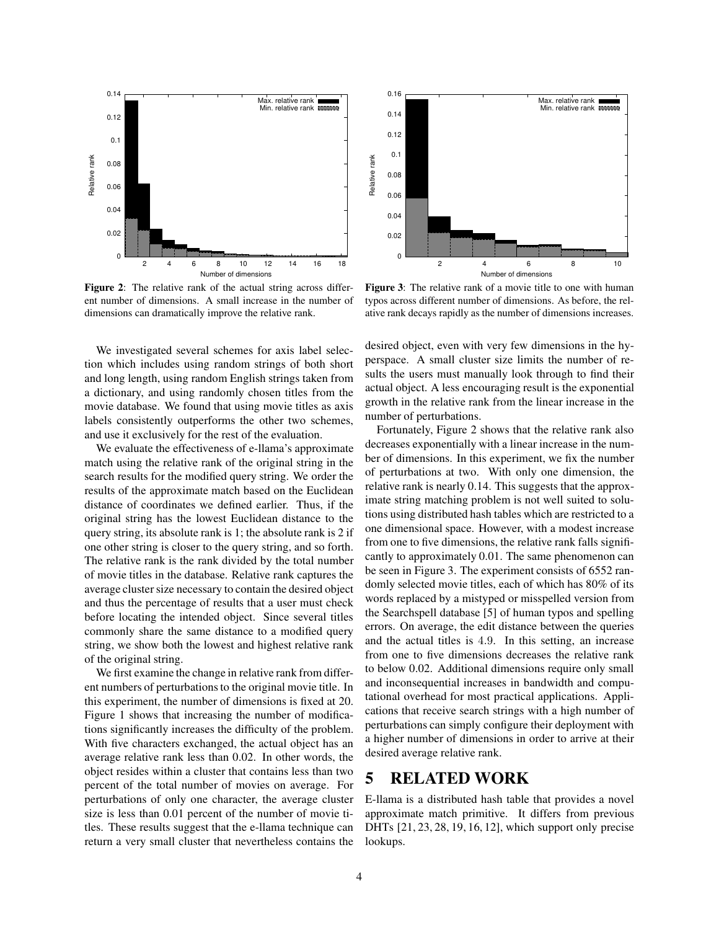

**Figure 2**: The relative rank of the actual string across different number of dimensions. A small increase in the number of dimensions can dramatically improve the relative rank.



**Figure 3**: The relative rank of a movie title to one with human typos across different number of dimensions. As before, the relative rank decays rapidly as the number of dimensions increases.

We investigated several schemes for axis label selection which includes using random strings of both short and long length, using random English strings taken from a dictionary, and using randomly chosen titles from the movie database. We found that using movie titles as axis labels consistently outperforms the other two schemes, and use it exclusively for the rest of the evaluation.

We evaluate the effectiveness of e-llama's approximate match using the relative rank of the original string in the search results for the modified query string. We order the results of the approximate match based on the Euclidean distance of coordinates we defined earlier. Thus, if the original string has the lowest Euclidean distance to the query string, its absolute rank is 1; the absolute rank is 2 if one other string is closer to the query string, and so forth. The relative rank is the rank divided by the total number of movie titles in the database. Relative rank captures the average cluster size necessary to contain the desired object and thus the percentage of results that a user must check before locating the intended object. Since several titles commonly share the same distance to a modified query string, we show both the lowest and highest relative rank of the original string.

We first examine the change in relative rank from different numbers of perturbations to the original movie title. In this experiment, the number of dimensions is fixed at 20. Figure 1 shows that increasing the number of modifications significantly increases the difficulty of the problem. With five characters exchanged, the actual object has an average relative rank less than 0.02. In other words, the object resides within a cluster that contains less than two percent of the total number of movies on average. For perturbations of only one character, the average cluster size is less than 0.01 percent of the number of movie titles. These results suggest that the e-llama technique can return a very small cluster that nevertheless contains the

desired object, even with very few dimensions in the hyperspace. A small cluster size limits the number of results the users must manually look through to find their actual object. A less encouraging result is the exponential growth in the relative rank from the linear increase in the number of perturbations.

Fortunately, Figure 2 shows that the relative rank also decreases exponentially with a linear increase in the number of dimensions. In this experiment, we fix the number of perturbations at two. With only one dimension, the relative rank is nearly 0.14. This suggests that the approximate string matching problem is not well suited to solutions using distributed hash tables which are restricted to a one dimensional space. However, with a modest increase from one to five dimensions, the relative rank falls significantly to approximately 0.01. The same phenomenon can be seen in Figure 3. The experiment consists of 6552 randomly selected movie titles, each of which has 80% of its words replaced by a mistyped or misspelled version from the Searchspell database [5] of human typos and spelling errors. On average, the edit distance between the queries and the actual titles is 4.9. In this setting, an increase from one to five dimensions decreases the relative rank to below 0.02. Additional dimensions require only small and inconsequential increases in bandwidth and computational overhead for most practical applications. Applications that receive search strings with a high number of perturbations can simply configure their deployment with a higher number of dimensions in order to arrive at their desired average relative rank.

# **5 RELATED WORK**

E-llama is a distributed hash table that provides a novel approximate match primitive. It differs from previous DHTs [21, 23, 28, 19, 16, 12], which support only precise lookups.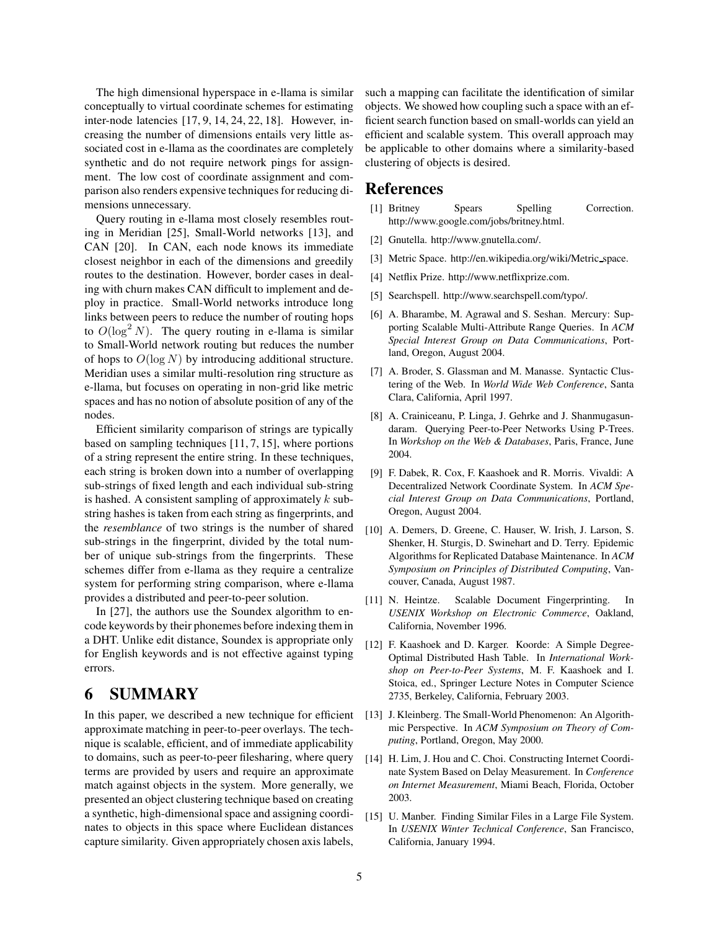The high dimensional hyperspace in e-llama is similar conceptually to virtual coordinate schemes for estimating inter-node latencies [17, 9, 14, 24, 22, 18]. However, increasing the number of dimensions entails very little associated cost in e-llama as the coordinates are completely synthetic and do not require network pings for assignment. The low cost of coordinate assignment and comparison also renders expensive techniques for reducing dimensions unnecessary.

Query routing in e-llama most closely resembles routing in Meridian [25], Small-World networks [13], and CAN [20]. In CAN, each node knows its immediate closest neighbor in each of the dimensions and greedily routes to the destination. However, border cases in dealing with churn makes CAN difficult to implement and deploy in practice. Small-World networks introduce long links between peers to reduce the number of routing hops to  $O(\log^2 N)$ . The query routing in e-llama is similar to Small-World network routing but reduces the number of hops to  $O(\log N)$  by introducing additional structure. Meridian uses a similar multi-resolution ring structure as e-llama, but focuses on operating in non-grid like metric spaces and has no notion of absolute position of any of the nodes.

Efficient similarity comparison of strings are typically based on sampling techniques [11, 7, 15], where portions of a string represent the entire string. In these techniques, each string is broken down into a number of overlapping sub-strings of fixed length and each individual sub-string is hashed. A consistent sampling of approximately  $k$  substring hashes is taken from each string as fingerprints, and the *resemblance* of two strings is the number of shared sub-strings in the fingerprint, divided by the total number of unique sub-strings from the fingerprints. These schemes differ from e-llama as they require a centralize system for performing string comparison, where e-llama provides a distributed and peer-to-peer solution.

In [27], the authors use the Soundex algorithm to encode keywords by their phonemes before indexing them in a DHT. Unlike edit distance, Soundex is appropriate only for English keywords and is not effective against typing errors.

# **6 SUMMARY**

In this paper, we described a new technique for efficient approximate matching in peer-to-peer overlays. The technique is scalable, efficient, and of immediate applicability to domains, such as peer-to-peer filesharing, where query terms are provided by users and require an approximate match against objects in the system. More generally, we presented an object clustering technique based on creating a synthetic, high-dimensional space and assigning coordinates to objects in this space where Euclidean distances capture similarity. Given appropriately chosen axis labels,

such a mapping can facilitate the identification of similar objects. We showed how coupling such a space with an efficient search function based on small-worlds can yield an efficient and scalable system. This overall approach may be applicable to other domains where a similarity-based clustering of objects is desired.

### **References**

- [1] Britney Spears Spelling Correction. http://www.google.com/jobs/britney.html.
- [2] Gnutella. http://www.gnutella.com/.
- [3] Metric Space. http://en.wikipedia.org/wiki/Metric\_space.
- [4] Netflix Prize. http://www.netflixprize.com.
- [5] Searchspell. http://www.searchspell.com/typo/.
- [6] A. Bharambe, M. Agrawal and S. Seshan. Mercury: Supporting Scalable Multi-Attribute Range Queries. In *ACM Special Interest Group on Data Communications*, Portland, Oregon, August 2004.
- [7] A. Broder, S. Glassman and M. Manasse. Syntactic Clustering of the Web. In *World Wide Web Conference*, Santa Clara, California, April 1997.
- [8] A. Crainiceanu, P. Linga, J. Gehrke and J. Shanmugasundaram. Querying Peer-to-Peer Networks Using P-Trees. In *Workshop on the Web & Databases*, Paris, France, June 2004.
- [9] F. Dabek, R. Cox, F. Kaashoek and R. Morris. Vivaldi: A Decentralized Network Coordinate System. In *ACM Special Interest Group on Data Communications*, Portland, Oregon, August 2004.
- [10] A. Demers, D. Greene, C. Hauser, W. Irish, J. Larson, S. Shenker, H. Sturgis, D. Swinehart and D. Terry. Epidemic Algorithms for Replicated Database Maintenance. In *ACM Symposium on Principles of Distributed Computing*, Vancouver, Canada, August 1987.
- [11] N. Heintze. Scalable Document Fingerprinting. In *USENIX Workshop on Electronic Commerce*, Oakland, California, November 1996.
- [12] F. Kaashoek and D. Karger. Koorde: A Simple Degree-Optimal Distributed Hash Table. In *International Workshop on Peer-to-Peer Systems*, M. F. Kaashoek and I. Stoica, ed., Springer Lecture Notes in Computer Science 2735, Berkeley, California, February 2003.
- [13] J. Kleinberg. The Small-World Phenomenon: An Algorithmic Perspective. In *ACM Symposium on Theory of Computing*, Portland, Oregon, May 2000.
- [14] H. Lim, J. Hou and C. Choi. Constructing Internet Coordinate System Based on Delay Measurement. In *Conference on Internet Measurement*, Miami Beach, Florida, October 2003.
- [15] U. Manber. Finding Similar Files in a Large File System. In *USENIX Winter Technical Conference*, San Francisco, California, January 1994.